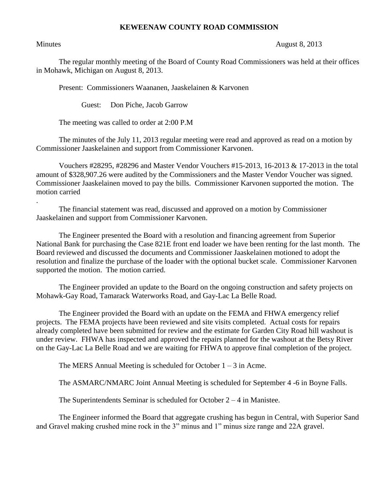## **KEWEENAW COUNTY ROAD COMMISSION**

.

## Minutes August 8, 2013

The regular monthly meeting of the Board of County Road Commissioners was held at their offices in Mohawk, Michigan on August 8, 2013.

Present: Commissioners Waananen, Jaaskelainen & Karvonen

Guest: Don Piche, Jacob Garrow

The meeting was called to order at 2:00 P.M

The minutes of the July 11, 2013 regular meeting were read and approved as read on a motion by Commissioner Jaaskelainen and support from Commissioner Karvonen.

Vouchers #28295, #28296 and Master Vendor Vouchers #15-2013, 16-2013 & 17-2013 in the total amount of \$328,907.26 were audited by the Commissioners and the Master Vendor Voucher was signed. Commissioner Jaaskelainen moved to pay the bills. Commissioner Karvonen supported the motion. The motion carried

The financial statement was read, discussed and approved on a motion by Commissioner Jaaskelainen and support from Commissioner Karvonen.

The Engineer presented the Board with a resolution and financing agreement from Superior National Bank for purchasing the Case 821E front end loader we have been renting for the last month. The Board reviewed and discussed the documents and Commissioner Jaaskelainen motioned to adopt the resolution and finalize the purchase of the loader with the optional bucket scale. Commissioner Karvonen supported the motion. The motion carried.

The Engineer provided an update to the Board on the ongoing construction and safety projects on Mohawk-Gay Road, Tamarack Waterworks Road, and Gay-Lac La Belle Road.

The Engineer provided the Board with an update on the FEMA and FHWA emergency relief projects. The FEMA projects have been reviewed and site visits completed. Actual costs for repairs already completed have been submitted for review and the estimate for Garden City Road hill washout is under review. FHWA has inspected and approved the repairs planned for the washout at the Betsy River on the Gay-Lac La Belle Road and we are waiting for FHWA to approve final completion of the project.

The MERS Annual Meeting is scheduled for October  $1 - 3$  in Acme.

The ASMARC/NMARC Joint Annual Meeting is scheduled for September 4 -6 in Boyne Falls.

The Superintendents Seminar is scheduled for October  $2 - 4$  in Manistee.

The Engineer informed the Board that aggregate crushing has begun in Central, with Superior Sand and Gravel making crushed mine rock in the 3" minus and 1" minus size range and 22A gravel.